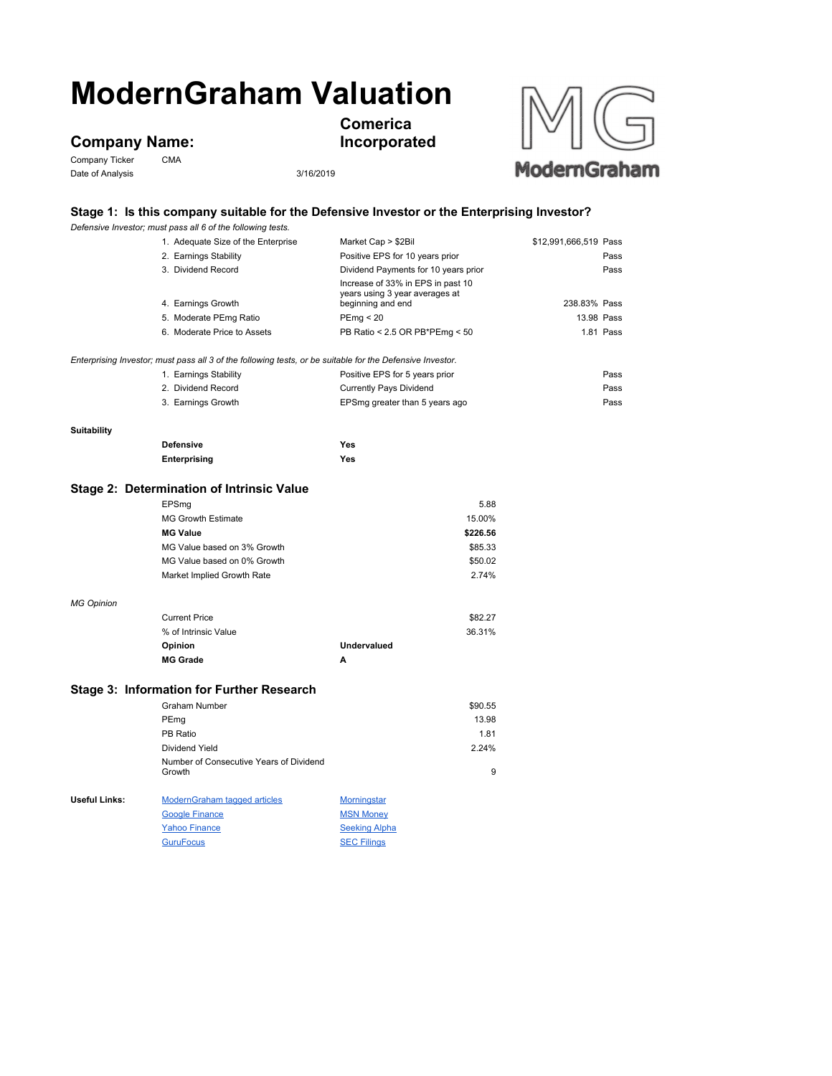# **ModernGraham Valuation**

## **Company Name:**<br>Company Ticker CMA

Company Ticker Date of Analysis 3/16/2019



**Comerica Incorporated**



### **Stage 1: Is this company suitable for the Defensive Investor or the Enterprising Investor?**

|                                           | Defensive Investor; must pass all 6 of the following tests.                                               |                                                     |                       |  |  |
|-------------------------------------------|-----------------------------------------------------------------------------------------------------------|-----------------------------------------------------|-----------------------|--|--|
|                                           | 1. Adequate Size of the Enterprise                                                                        | Market Cap > \$2Bil                                 | \$12,991,666,519 Pass |  |  |
|                                           | 2. Earnings Stability                                                                                     | Positive EPS for 10 years prior                     | Pass                  |  |  |
|                                           | 3. Dividend Record                                                                                        | Dividend Payments for 10 years prior                | Pass                  |  |  |
|                                           |                                                                                                           | Increase of 33% in EPS in past 10                   |                       |  |  |
|                                           | 4. Earnings Growth                                                                                        | years using 3 year averages at<br>beginning and end | 238.83% Pass          |  |  |
|                                           | 5. Moderate PEmg Ratio                                                                                    | PEmg < 20                                           | 13.98 Pass            |  |  |
|                                           | 6. Moderate Price to Assets                                                                               | PB Ratio < 2.5 OR PB*PEmg < 50                      | 1.81 Pass             |  |  |
|                                           |                                                                                                           |                                                     |                       |  |  |
|                                           | Enterprising Investor; must pass all 3 of the following tests, or be suitable for the Defensive Investor. |                                                     |                       |  |  |
|                                           | 1. Earnings Stability                                                                                     | Positive EPS for 5 years prior                      | Pass                  |  |  |
|                                           | 2. Dividend Record                                                                                        | <b>Currently Pays Dividend</b>                      | Pass                  |  |  |
|                                           | 3. Earnings Growth                                                                                        | EPSmg greater than 5 years ago                      | Pass                  |  |  |
| <b>Suitability</b>                        |                                                                                                           |                                                     |                       |  |  |
|                                           | <b>Defensive</b>                                                                                          | <b>Yes</b>                                          |                       |  |  |
|                                           | Enterprising                                                                                              | <b>Yes</b>                                          |                       |  |  |
|                                           | Stage 2: Determination of Intrinsic Value                                                                 |                                                     |                       |  |  |
|                                           |                                                                                                           |                                                     |                       |  |  |
|                                           | EPSmg<br><b>MG Growth Estimate</b>                                                                        | 5.88<br>15.00%                                      |                       |  |  |
|                                           | <b>MG Value</b>                                                                                           | \$226.56                                            |                       |  |  |
|                                           | MG Value based on 3% Growth                                                                               | \$85.33                                             |                       |  |  |
|                                           | MG Value based on 0% Growth                                                                               | \$50.02                                             |                       |  |  |
|                                           | Market Implied Growth Rate                                                                                | 2.74%                                               |                       |  |  |
|                                           |                                                                                                           |                                                     |                       |  |  |
| <b>MG Opinion</b>                         |                                                                                                           |                                                     |                       |  |  |
|                                           | <b>Current Price</b>                                                                                      | \$82.27                                             |                       |  |  |
|                                           | % of Intrinsic Value                                                                                      | 36.31%                                              |                       |  |  |
|                                           | Opinion                                                                                                   | <b>Undervalued</b>                                  |                       |  |  |
|                                           | <b>MG Grade</b>                                                                                           | А                                                   |                       |  |  |
| Stage 3: Information for Further Research |                                                                                                           |                                                     |                       |  |  |
|                                           | <b>Graham Number</b>                                                                                      | \$90.55                                             |                       |  |  |
|                                           | PEmg                                                                                                      | 13.98                                               |                       |  |  |
|                                           | PB Ratio                                                                                                  | 1.81                                                |                       |  |  |
|                                           | Dividend Yield                                                                                            | 2.24%                                               |                       |  |  |
|                                           | Number of Consecutive Years of Dividend                                                                   |                                                     |                       |  |  |
|                                           | Growth                                                                                                    | 9                                                   |                       |  |  |
| <b>Useful Links:</b>                      | <b>ModernGraham tagged articles</b>                                                                       | <b>Morningstar</b>                                  |                       |  |  |
|                                           | <b>Google Finance</b>                                                                                     | <b>MSN Money</b>                                    |                       |  |  |
|                                           | <b>Yahoo Finance</b>                                                                                      | <b>Seeking Alpha</b>                                |                       |  |  |

GuruFocus SEC Filings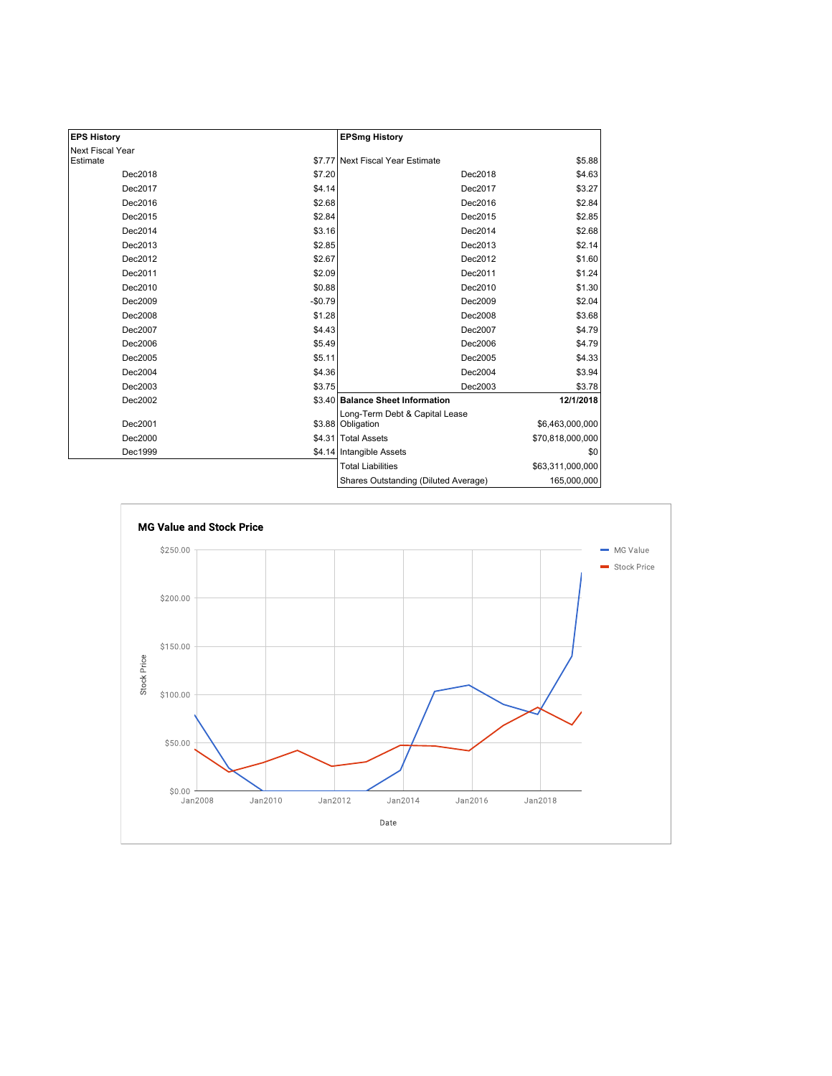| <b>EPS History</b> |          | <b>EPSmg History</b>                                |                  |
|--------------------|----------|-----------------------------------------------------|------------------|
| Next Fiscal Year   |          |                                                     |                  |
| Estimate           |          | \$7.77 Next Fiscal Year Estimate                    | \$5.88           |
| Dec2018            | \$7.20   | Dec2018                                             | \$4.63           |
| Dec2017            | \$4.14   | Dec2017                                             | \$3.27           |
| Dec2016            | \$2.68   | Dec2016                                             | \$2.84           |
| Dec2015            | \$2.84   | Dec2015                                             | \$2.85           |
| Dec2014            | \$3.16   | Dec2014                                             | \$2.68           |
| Dec2013            | \$2.85   | Dec2013                                             | \$2.14           |
| Dec2012            | \$2.67   | Dec2012                                             | \$1.60           |
| Dec2011            | \$2.09   | Dec2011                                             | \$1.24           |
| Dec2010            | \$0.88   | Dec2010                                             | \$1.30           |
| Dec2009            | $-$0.79$ | Dec2009                                             | \$2.04           |
| Dec2008            | \$1.28   | Dec2008                                             | \$3.68           |
| Dec2007            | \$4.43   | Dec2007                                             | \$4.79           |
| Dec2006            | \$5.49   | Dec2006                                             | \$4.79           |
| Dec2005            | \$5.11   | Dec2005                                             | \$4.33           |
| Dec2004            | \$4.36   | Dec2004                                             | \$3.94           |
| Dec2003            | \$3.75   | Dec2003                                             | \$3.78           |
| Dec2002            |          | \$3.40 Balance Sheet Information                    | 12/1/2018        |
| Dec2001            |          | Long-Term Debt & Capital Lease<br>\$3.88 Obligation | \$6,463,000,000  |
| Dec2000            |          | \$4.31 Total Assets                                 | \$70,818,000,000 |
| Dec1999            |          | \$4.14 Intangible Assets                            | \$0              |
|                    |          | <b>Total Liabilities</b>                            | \$63,311,000,000 |
|                    |          | Shares Outstanding (Diluted Average)                | 165,000,000      |